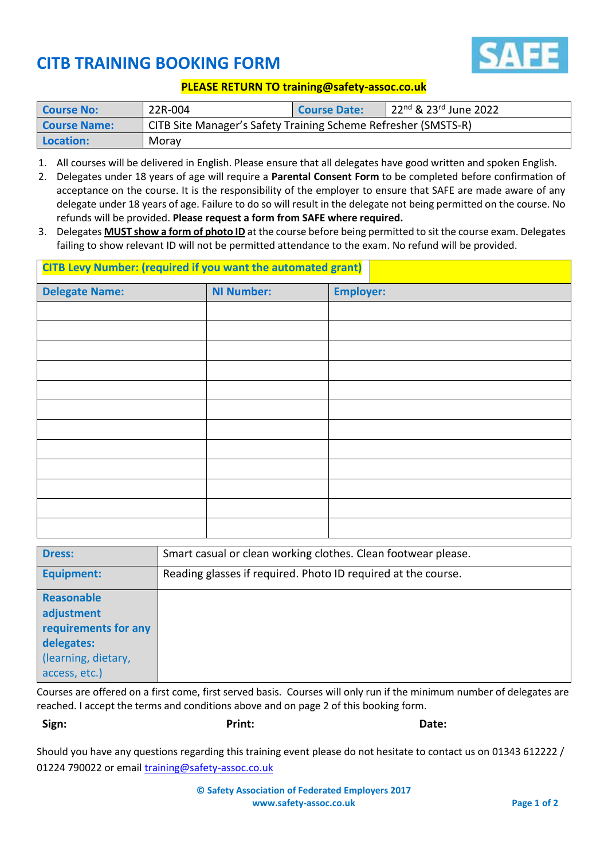

## **CITB TRAINING BOOKING FORM**

## **PLEASE RETURN TO training@safety-assoc.co.uk**

| <b>Course No:</b>   | 22R-004                                                        | <b>Course Date:</b> | 22 <sup>nd</sup> & 23 <sup>rd</sup> June 2022 |
|---------------------|----------------------------------------------------------------|---------------------|-----------------------------------------------|
| <b>Course Name:</b> | CITB Site Manager's Safety Training Scheme Refresher (SMSTS-R) |                     |                                               |
| <b>Location:</b>    | Morav                                                          |                     |                                               |

- 1. All courses will be delivered in English. Please ensure that all delegates have good written and spoken English.
- 2. Delegates under 18 years of age will require a **Parental Consent Form** to be completed before confirmation of acceptance on the course. It is the responsibility of the employer to ensure that SAFE are made aware of any delegate under 18 years of age. Failure to do so will result in the delegate not being permitted on the course. No refunds will be provided. **Please request a form from SAFE where required.**
- 3. Delegates **MUST show a form of photo ID** at the course before being permitted to sit the course exam. Delegates failing to show relevant ID will not be permitted attendance to the exam. No refund will be provided.

| <b>CITB Levy Number: (required if you want the automated grant)</b> |                   |                  |  |
|---------------------------------------------------------------------|-------------------|------------------|--|
| <b>Delegate Name:</b>                                               | <b>NI Number:</b> | <b>Employer:</b> |  |
|                                                                     |                   |                  |  |
|                                                                     |                   |                  |  |
|                                                                     |                   |                  |  |
|                                                                     |                   |                  |  |
|                                                                     |                   |                  |  |
|                                                                     |                   |                  |  |
|                                                                     |                   |                  |  |
|                                                                     |                   |                  |  |
|                                                                     |                   |                  |  |
|                                                                     |                   |                  |  |
|                                                                     |                   |                  |  |
|                                                                     |                   |                  |  |

| <b>Dress:</b>        | Smart casual or clean working clothes. Clean footwear please. |  |
|----------------------|---------------------------------------------------------------|--|
| <b>Equipment:</b>    | Reading glasses if required. Photo ID required at the course. |  |
| Reasonable           |                                                               |  |
| adjustment           |                                                               |  |
| requirements for any |                                                               |  |
| delegates:           |                                                               |  |
| (learning, dietary,  |                                                               |  |
| access, etc.)        |                                                               |  |

Courses are offered on a first come, first served basis. Courses will only run if the minimum number of delegates are reached. I accept the terms and conditions above and on page 2 of this booking form.

**Sign: Print: Date:**

Should you have any questions regarding this training event please do not hesitate to contact us on 01343 612222 / 01224 790022 or emai[l training@safety-assoc.co.uk](mailto:training@safety-assoc.co.uk)

> **© Safety Association of Federated Employers 2017 www.safety-assoc.co.uk Page 1 of 2**